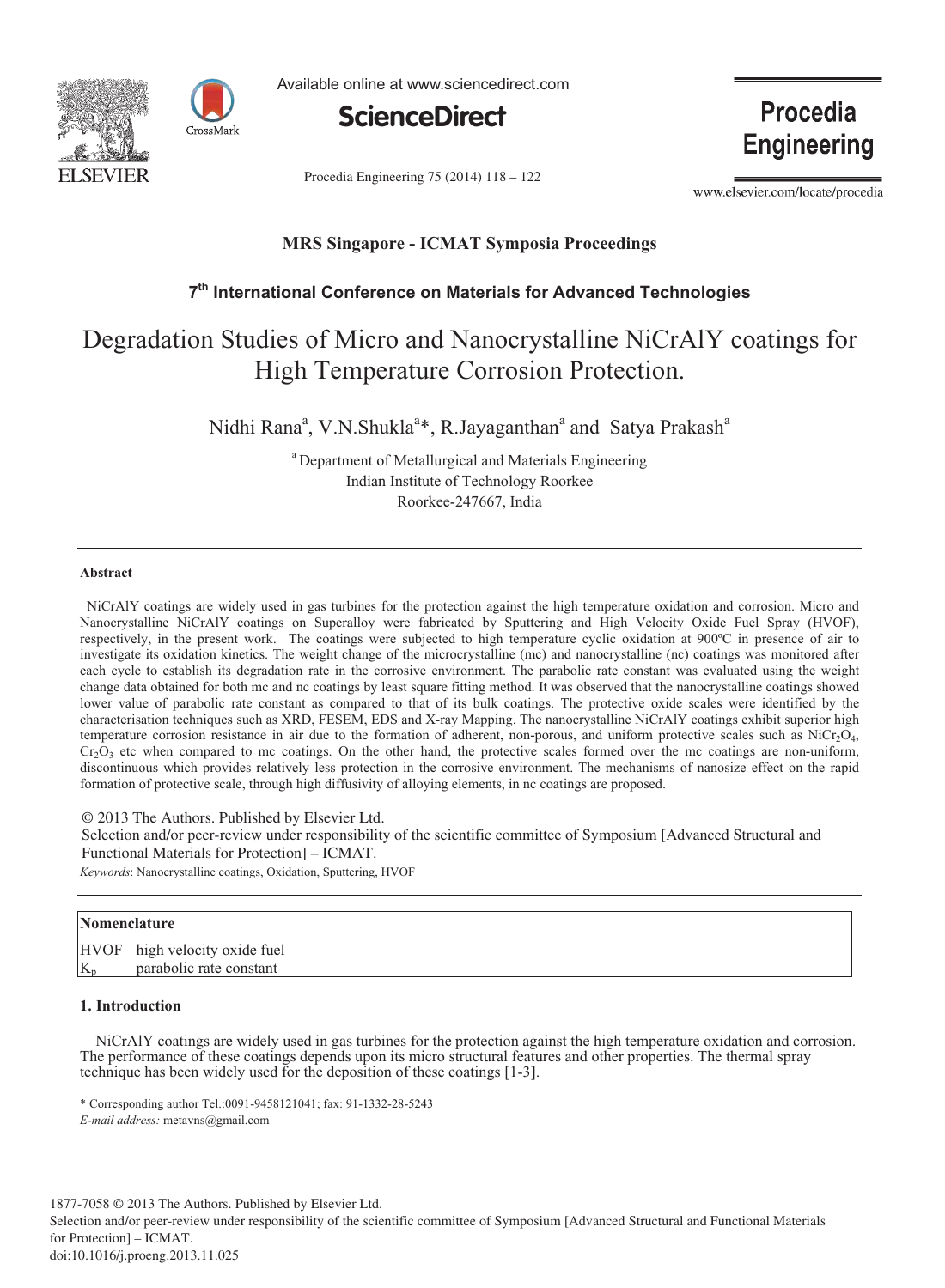



Available online at www.sciencedirect.com



Procedia Engineering 75 (2014) 118 - 122

**Procedia Engineering** 

www.elsevier.com/locate/procedia

# **MRS Singapore - ICMAT Symposia Proceedings**

# **7 th International Conference on Materials for Advanced Technologies**

# Degradation Studies of Micro and Nanocrystalline NiCrAlY coatings for High Temperature Corrosion Protection.

Nidhi Rana<sup>a</sup>, V.N.Shukla<sup>a</sup>\*, R.Jayaganthan<sup>a</sup> and Satya Prakash<sup>a</sup>

<sup>a</sup> Department of Metallurgical and Materials Engineering Indian Institute of Technology Roorkee Roorkee-247667, India

#### **Abstract**

NiCrAlY coatings are widely used in gas turbines for the protection against the high temperature oxidation and corrosion. Micro and Nanocrystalline NiCrAlY coatings on Superalloy were fabricated by Sputtering and High Velocity Oxide Fuel Spray (HVOF), respectively, in the present work. The coatings were subjected to high temperature cyclic oxidation at 900ºC in presence of air to investigate its oxidation kinetics. The weight change of the microcrystalline (mc) and nanocrystalline (nc) coatings was monitored after each cycle to establish its degradation rate in the corrosive environment. The parabolic rate constant was evaluated using the weight change data obtained for both mc and nc coatings by least square fitting method. It was observed that the nanocrystalline coatings showed lower value of parabolic rate constant as compared to that of its bulk coatings. The protective oxide scales were identified by the characterisation techniques such as XRD, FESEM, EDS and X-ray Mapping. The nanocrystalline NiCrAlY coatings exhibit superior high temperature corrosion resistance in air due to the formation of adherent, non-porous, and uniform protective scales such as  $\text{NiCr}_2\text{O}_4$ ,  $Cr_2O_3$  etc when compared to mc coatings. On the other hand, the protective scales formed over the mc coatings are non-uniform, discontinuous which provides relatively less protection in the corrosive environment. The mechanisms of nanosize effect on the rapid formation of protective scale, through high diffusivity of alloying elements, in nc coatings are proposed.

© 2013 The Authors. Published by Elsevier Ltd. © 2013 The Authors. Published by Elsevier Ltd.

Selection and/or peer-review under responsibility of the scientific committee of Symposium [Advanced Structural and Functional Materials for Protection] – ICMAT.

*Keywords*: Nanocrystalline coatings, Oxidation, Sputtering, HVOF

# **Nomenclature**

HVOF high velocity oxide fuel parabolic rate constant

# **1. Introduction**

 NiCrAlY coatings are widely used in gas turbines for the protection against the high temperature oxidation and corrosion. The performance of these coatings depends upon its micro structural features and other properties. The thermal spray technique has been widely used for the deposition of these coatings [1-3].

\* Corresponding author Tel.:0091-9458121041; fax: 91-1332-28-5243 *E-mail address:* metavns@gmail.com

1877-7058 © 2013 The Authors. Published by Elsevier Ltd. Selection and/or peer-review under responsibility of the scientific committee of Symposium [Advanced Structural and Functional Materials for Protection] – ICMAT. doi: 10.1016/j.proeng.2013.11.025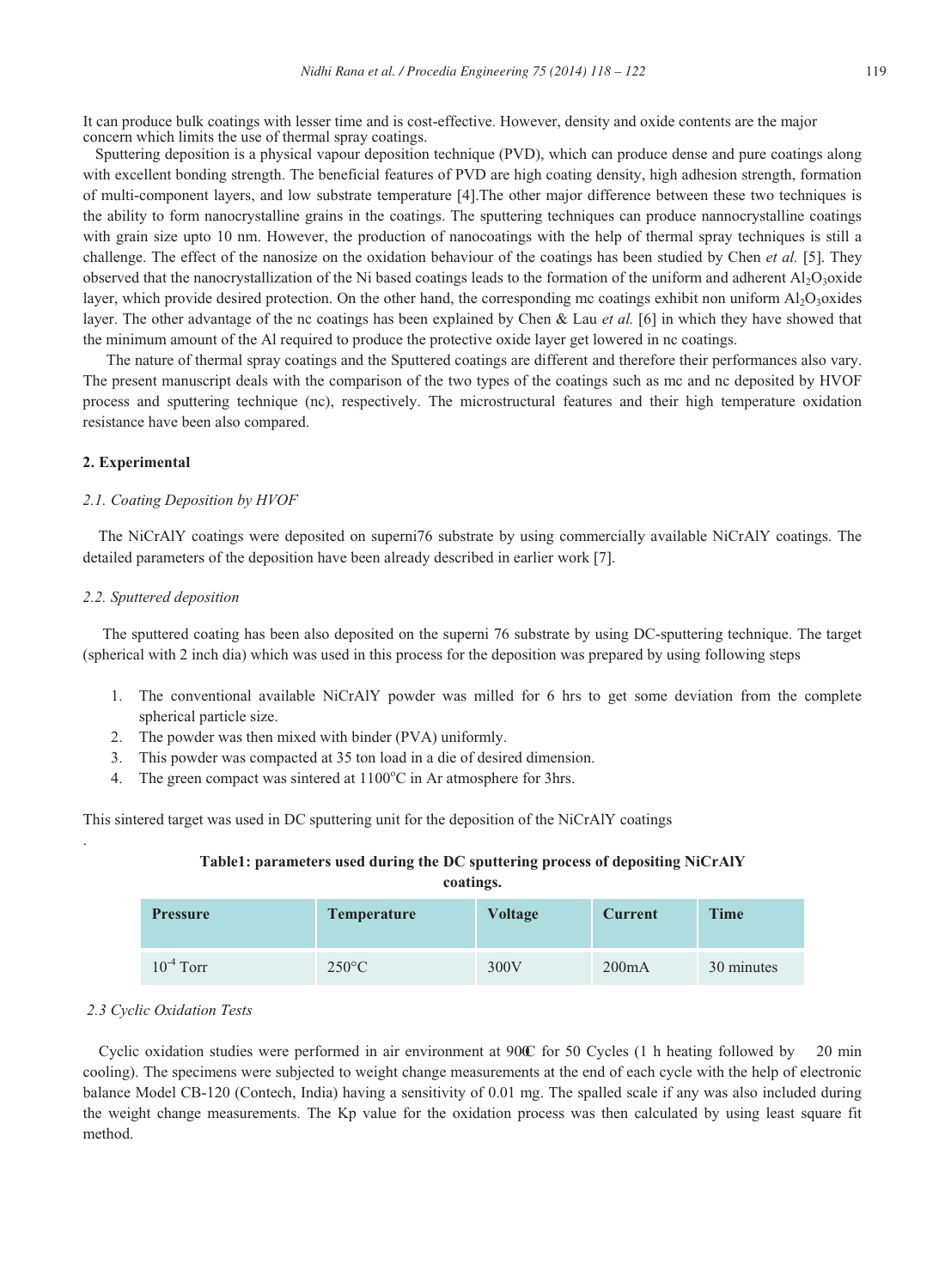It can produce bulk coatings with lesser time and is cost-effective. However, density and oxide contents are the major concern which limits the use of thermal spray coatings.

Sputtering deposition is a physical vapour deposition technique (PVD), which can produce dense and pure coatings along with excellent bonding strength. The beneficial features of PVD are high coating density, high adhesion strength, formation of multi-component layers, and low substrate temperature [4].The other major difference between these two techniques is the ability to form nanocrystalline grains in the coatings. The sputtering techniques can produce nannocrystalline coatings with grain size upto 10 nm. However, the production of nanocoatings with the help of thermal spray techniques is still a challenge. The effect of the nanosize on the oxidation behaviour of the coatings has been studied by Chen *et al.* [5]. They observed that the nanocrystallization of the Ni based coatings leads to the formation of the uniform and adherent  $AI_2O_3$ oxide layer, which provide desired protection. On the other hand, the corresponding mc coatings exhibit non uniform  $A<sub>1</sub>O<sub>3</sub>$ oxides layer. The other advantage of the nc coatings has been explained by Chen & Lau *et al.* [6] in which they have showed that the minimum amount of the Al required to produce the protective oxide layer get lowered in nc coatings.

 The nature of thermal spray coatings and the Sputtered coatings are different and therefore their performances also vary. The present manuscript deals with the comparison of the two types of the coatings such as mc and nc deposited by HVOF process and sputtering technique (nc), respectively. The microstructural features and their high temperature oxidation resistance have been also compared.

#### **2. Experimental**

#### *2.1. Coating Deposition by HVOF*

 The NiCrAlY coatings were deposited on superni76 substrate by using commercially available NiCrAlY coatings. The detailed parameters of the deposition have been already described in earlier work [7].

#### *2.2. Sputtered deposition*

 The sputtered coating has been also deposited on the superni 76 substrate by using DC-sputtering technique. The target (spherical with 2 inch dia) which was used in this process for the deposition was prepared by using following steps

- 1. The conventional available NiCrAlY powder was milled for 6 hrs to get some deviation from the complete spherical particle size.
- 2. The powder was then mixed with binder (PVA) uniformly.
- 3. This powder was compacted at 35 ton load in a die of desired dimension.
- 4. The green compact was sintered at  $1100^{\circ}$ C in Ar atmosphere for 3hrs.

This sintered target was used in DC sputtering unit for the deposition of the NiCrAlY coatings

# **Table1: parameters used during the DC sputtering process of depositing NiCrAlY coatings.**

| <b>Pressure</b> | <b>Temperature</b> | Voltage | <b>Current</b> | <b>Time</b> |
|-----------------|--------------------|---------|----------------|-------------|
| $10^{-4}$ Torr  | $250^{\circ}$ C    | 300V    | 200mA          | 30 minutes  |

#### *2.3 Cyclic Oxidation Tests*

.

Cyclic oxidation studies were performed in air environment at  $90C$  for 50 Cycles (1 h heating followed by cooling). The specimens were subjected to weight change measurements at the end of each cycle with the help of electronic balance Model CB-120 (Contech, India) having a sensitivity of 0.01 mg. The spalled scale if any was also included during the weight change measurements. The Kp value for the oxidation process was then calculated by using least square fit method.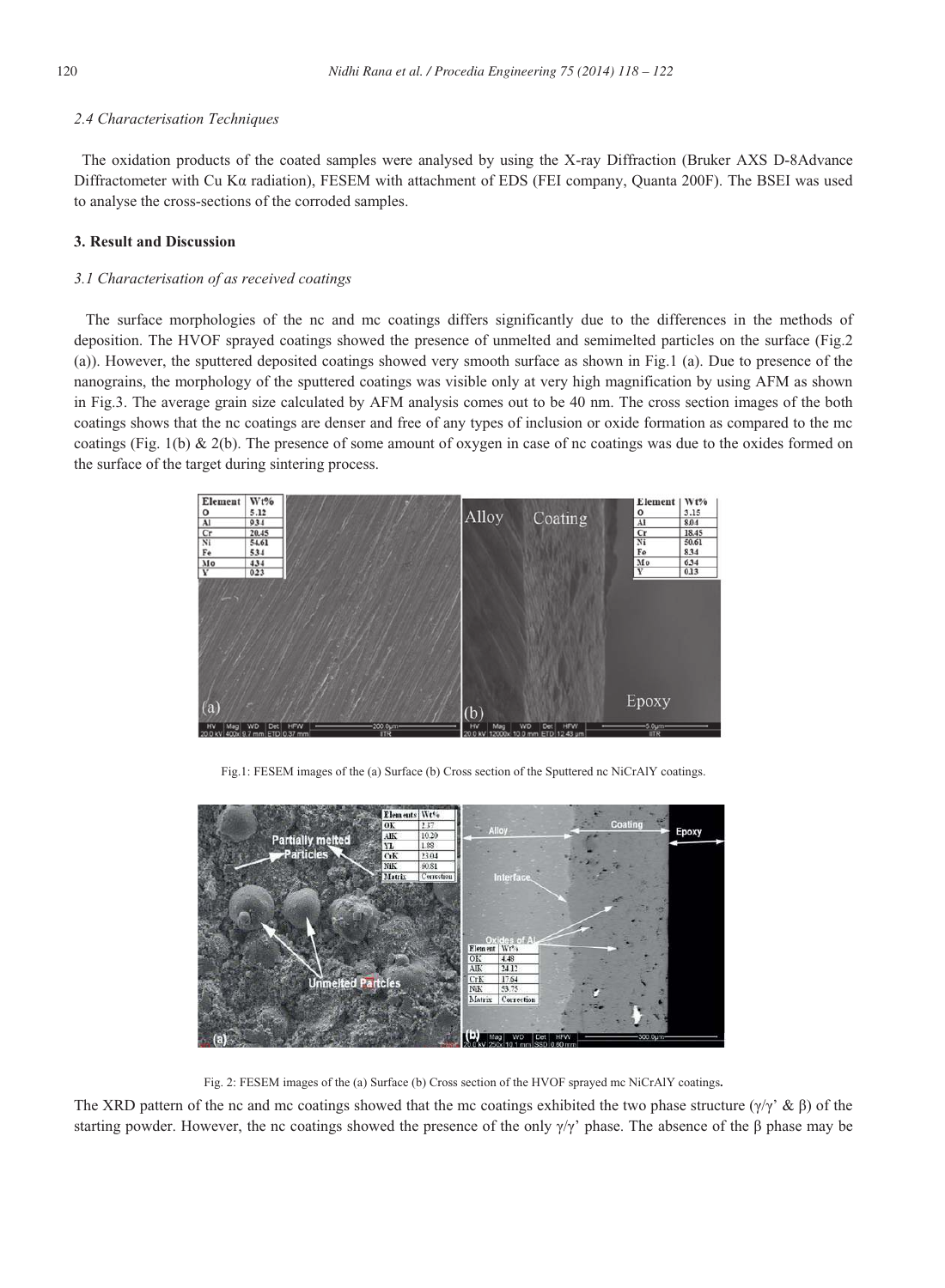## *2.4 Characterisation Techniques*

 The oxidation products of the coated samples were analysed by using the X-ray Diffraction (Bruker AXS D-8Advance Diffractometer with Cu K $\alpha$  radiation), FESEM with attachment of EDS (FEI company, Quanta 200F). The BSEI was used to analyse the cross-sections of the corroded samples.

# **3. Result and Discussion**

## *3.1 Characterisation of as received coatings*

 The surface morphologies of the nc and mc coatings differs significantly due to the differences in the methods of deposition. The HVOF sprayed coatings showed the presence of unmelted and semimelted particles on the surface (Fig.2 (a)). However, the sputtered deposited coatings showed very smooth surface as shown in Fig.1 (a). Due to presence of the nanograins, the morphology of the sputtered coatings was visible only at very high magnification by using AFM as shown in Fig.3. The average grain size calculated by AFM analysis comes out to be 40 nm. The cross section images of the both coatings shows that the nc coatings are denser and free of any types of inclusion or oxide formation as compared to the mc coatings (Fig. 1(b) & 2(b). The presence of some amount of oxygen in case of nc coatings was due to the oxides formed on the surface of the target during sintering process.



Fig.1: FESEM images of the (a) Surface (b) Cross section of the Sputtered nc NiCrAlY coatings.



Fig. 2: FESEM images of the (a) Surface (b) Cross section of the HVOF sprayed mc NiCrAlY coatings**.**

The XRD pattern of the nc and mc coatings showed that the mc coatings exhibited the two phase structure  $(\gamma/\gamma \cdot \& \beta)$  of the starting powder. However, the nc coatings showed the presence of the only  $\gamma/\gamma'$  phase. The absence of the  $\beta$  phase may be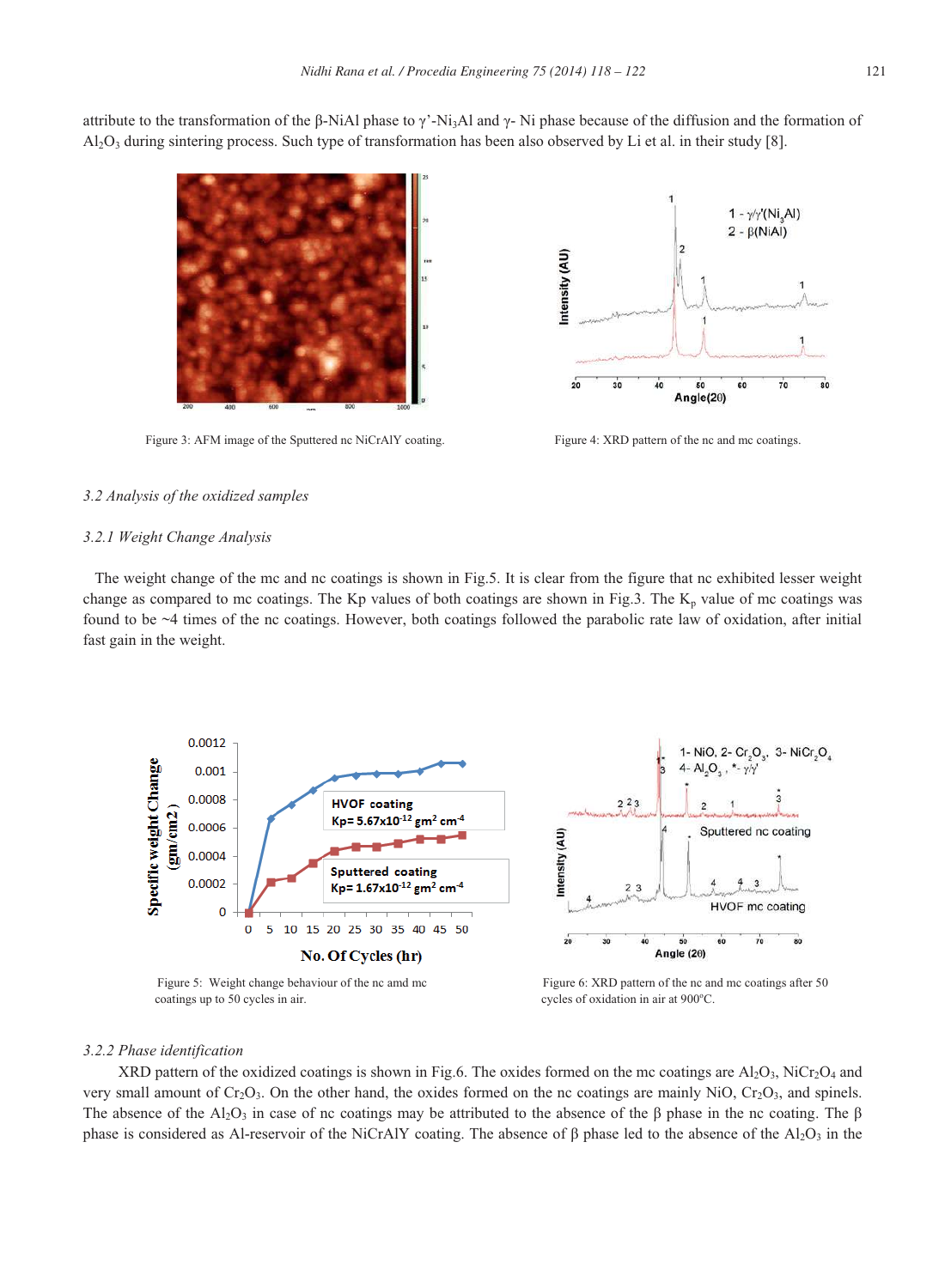attribute to the transformation of the  $\beta$ -Ni $\lambda$ l phase to  $\gamma$ '-Ni<sub>3</sub>Al and  $\gamma$ -Ni phase because of the diffusion and the formation of

 $A<sub>1</sub>Q<sub>3</sub>$  during sintering process. Such type of transformation has been also observed by Li et al. in their study [8].

Figure 3: AFM image of the Sputtered nc NiCrAlY coating. Figure 4: XRD pattern of the nc and mc coatings.



#### *3.2 Analysis of the oxidized samples*

# *3.2.1 Weight Change Analysis*

The weight change of the mc and nc coatings is shown in Fig.5. It is clear from the figure that nc exhibited lesser weight change as compared to mc coatings. The Kp values of both coatings are shown in Fig.3. The  $K_p$  value of mc coatings was found to be  $\sim$ 4 times of the nc coatings. However, both coatings followed the parabolic rate law of oxidation, after initial fast gain in the weight.



coatings up to 50 cycles in air. cycles of oxidation in air at 900°C.

## *3.2.2 Phase identification*

XRD pattern of the oxidized coatings is shown in Fig.6. The oxides formed on the mc coatings are  $Al_2O_3$ , NiCr<sub>2</sub>O<sub>4</sub> and very small amount of  $Cr_2O_3$ . On the other hand, the oxides formed on the nc coatings are mainly NiO,  $Cr_2O_3$ , and spinels. The absence of the Al<sub>2</sub>O<sub>3</sub> in case of nc coatings may be attributed to the absence of the  $\beta$  phase in the nc coating. The  $\beta$ phase is considered as Al-reservoir of the NiCrAlY coating. The absence of  $\beta$  phase led to the absence of the Al<sub>2</sub>O<sub>3</sub> in the